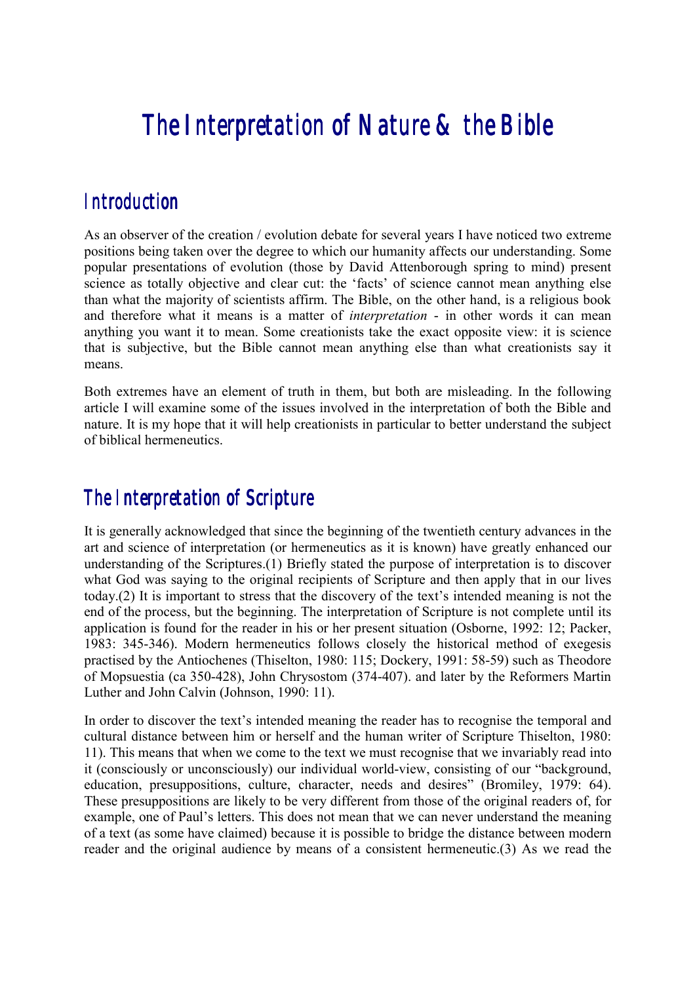# *The Interpretation of Nature & the Bible*

### *Introduction*

As an observer of the creation / evolution debate for several years I have noticed two extreme positions being taken over the degree to which our humanity affects our understanding. Some popular presentations of evolution (those by David Attenborough spring to mind) present science as totally objective and clear cut: the 'facts' of science cannot mean anything else than what the majority of scientists affirm. The Bible, on the other hand, is a religious book and therefore what it means is a matter of *interpretation* - in other words it can mean anything you want it to mean. Some creationists take the exact opposite view: it is science that is subjective, but the Bible cannot mean anything else than what creationists say it means.

Both extremes have an element of truth in them, but both are misleading. In the following article I will examine some of the issues involved in the interpretation of both the Bible and nature. It is my hope that it will help creationists in particular to better understand the subject of biblical hermeneutics.

# *The Interpretation of Scripture*

It is generally acknowledged that since the beginning of the twentieth century advances in the art and science of interpretation (or hermeneutics as it is known) have greatly enhanced our understanding of the Scriptures.(1) Briefly stated the purpose of interpretation is to discover what God was saying to the original recipients of Scripture and then apply that in our lives today.(2) It is important to stress that the discovery of the text's intended meaning is not the end of the process, but the beginning. The interpretation of Scripture is not complete until its application is found for the reader in his or her present situation (Osborne, 1992: 12; Packer, 1983: 345-346). Modern hermeneutics follows closely the historical method of exegesis practised by the Antiochenes (Thiselton, 1980: 115; Dockery, 1991: 58-59) such as Theodore of Mopsuestia (ca 350-428), John Chrysostom (374-407). and later by the Reformers Martin Luther and John Calvin (Johnson, 1990: 11).

In order to discover the text's intended meaning the reader has to recognise the temporal and cultural distance between him or herself and the human writer of Scripture Thiselton, 1980: 11). This means that when we come to the text we must recognise that we invariably read into it (consciously or unconsciously) our individual world-view, consisting of our "background, education, presuppositions, culture, character, needs and desires" (Bromiley, 1979: 64). These presuppositions are likely to be very different from those of the original readers of, for example, one of Paul's letters. This does not mean that we can never understand the meaning of a text (as some have claimed) because it is possible to bridge the distance between modern reader and the original audience by means of a consistent hermeneutic.(3) As we read the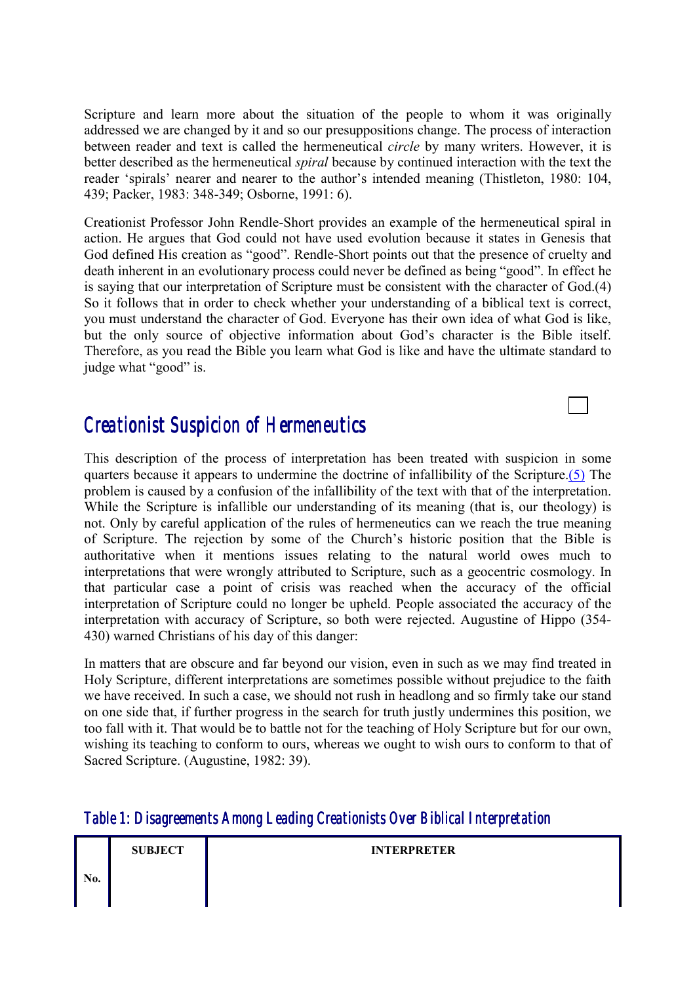Scripture and learn more about the situation of the people to whom it was originally addressed we are changed by it and so our presuppositions change. The process of interaction between reader and text is called the hermeneutical *circle* by many writers. However, it is better described as the hermeneutical *spiral* because by continued interaction with the text the reader 'spirals' nearer and nearer to the author's intended meaning (Thistleton, 1980: 104, 439; Packer, 1983: 348-349; Osborne, 1991: 6).

Creationist Professor John Rendle-Short provides an example of the hermeneutical spiral in action. He argues that God could not have used evolution because it states in Genesis that God defined His creation as "good". Rendle-Short points out that the presence of cruelty and death inherent in an evolutionary process could never be defined as being "good". In effect he is saying that our interpretation of Scripture must be consistent with the character of God.(4) So it follows that in order to check whether your understanding of a biblical text is correct, you must understand the character of God. Everyone has their own idea of what God is like, but the only source of objective information about God's character is the Bible itself. Therefore, as you read the Bible you learn what God is like and have the ultimate standard to judge what "good" is.

## *Creationist Suspicion of Hermeneutics*

This description of the process of interpretation has been treated with suspicion in some quarters because it appears to undermine the doctrine of infallibility of the Scripture.(5) The problem is caused by a confusion of the infallibility of the text with that of the interpretation. While the Scripture is infallible our understanding of its meaning (that is, our theology) is not. Only by careful application of the rules of hermeneutics can we reach the true meaning of Scripture. The rejection by some of the Church's historic position that the Bible is authoritative when it mentions issues relating to the natural world owes much to interpretations that were wrongly attributed to Scripture, such as a geocentric cosmology. In that particular case a point of crisis was reached when the accuracy of the official interpretation of Scripture could no longer be upheld. People associated the accuracy of the interpretation with accuracy of Scripture, so both were rejected. Augustine of Hippo (354- 430) warned Christians of his day of this danger:

In matters that are obscure and far beyond our vision, even in such as we may find treated in Holy Scripture, different interpretations are sometimes possible without prejudice to the faith we have received. In such a case, we should not rush in headlong and so firmly take our stand on one side that, if further progress in the search for truth justly undermines this position, we too fall with it. That would be to battle not for the teaching of Holy Scripture but for our own, wishing its teaching to conform to ours, whereas we ought to wish ours to conform to that of Sacred Scripture. (Augustine, 1982: 39).

#### *Table 1: Disagreements Among Leading Creationists Over Biblical Interpretation Leading Creationists Over Biblical Interpretation*

|     | <b>SUBJECT</b> | <b>INTERPRETER</b> |
|-----|----------------|--------------------|
| No. |                |                    |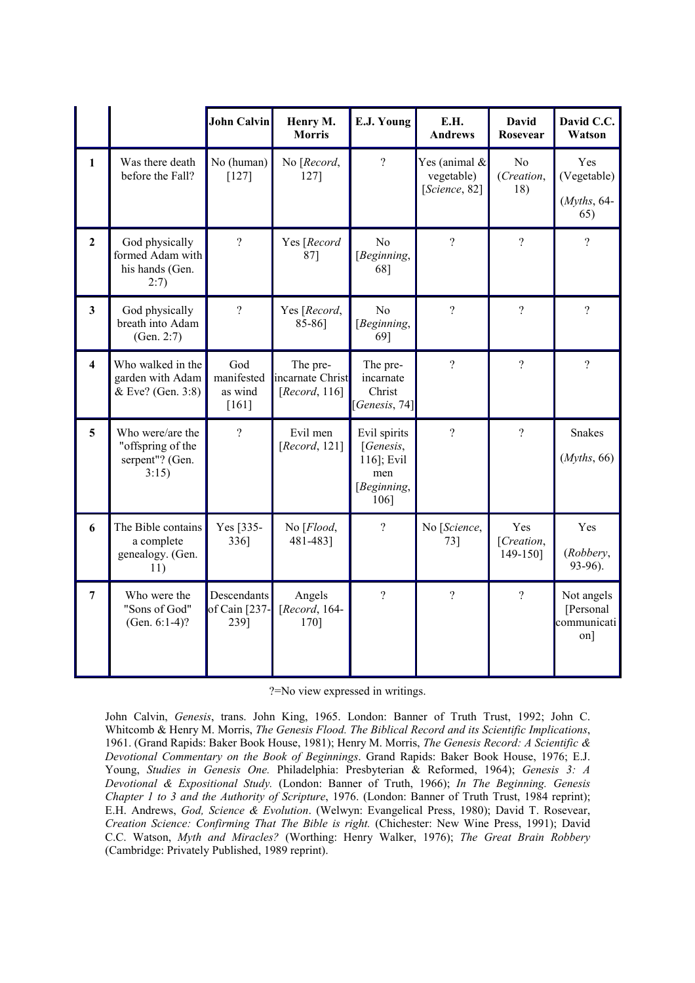|                         |                                                                   | <b>John Calvin</b>                      | Henry M.<br><b>Morris</b>                         | E.J. Young                                                            | E.H.<br><b>Andrews</b>                          | <b>David</b><br>Rosevear            | David C.C.<br>Watson                           |
|-------------------------|-------------------------------------------------------------------|-----------------------------------------|---------------------------------------------------|-----------------------------------------------------------------------|-------------------------------------------------|-------------------------------------|------------------------------------------------|
| $\mathbf{1}$            | Was there death<br>before the Fall?                               | No (human)<br>$[127]$                   | No [Record,<br>1271                               | $\gamma$                                                              | Yes (animal $\&$<br>vegetable)<br>[Science, 82] | N <sub>0</sub><br>(Creation,<br>18) | Yes<br>(Vegetable)<br>$(Myths, 64-$<br>65)     |
| $\overline{2}$          | God physically<br>formed Adam with<br>his hands (Gen.<br>2:7)     | $\overline{?}$                          | Yes [Record<br>87]                                | No<br>[Beginning,<br>68]                                              | $\overline{?}$                                  | $\overline{?}$                      | $\overline{?}$                                 |
| $\overline{3}$          | God physically<br>breath into Adam<br>(Gen. 2:7)                  | $\gamma$                                | Yes [Record,<br>85-86]                            | N <sub>o</sub><br>[Beginning,<br>69]                                  | $\overline{?}$                                  | $\overline{?}$                      | $\overline{?}$                                 |
| $\overline{\mathbf{4}}$ | Who walked in the<br>garden with Adam<br>& Eve? (Gen. 3:8)        | God<br>manifested<br>as wind<br>$[161]$ | The pre-<br>incarnate Christ<br>[ $Record, 116$ ] | The pre-<br>incarnate<br>Christ<br>[Genesis, $74$ ]                   | $\overline{?}$                                  | $\overline{?}$                      | $\overline{?}$                                 |
| 5 <sup>5</sup>          | Who were/are the<br>"offspring of the<br>serpent"? (Gen.<br>3:15) | $\gamma$                                | Evil men<br>[ $Record, 121$ ]                     | Evil spirits<br>[Genesis,<br>116]; Evil<br>men<br>[Beginning,<br>106] | $\overline{?}$                                  | $\overline{?}$                      | Snakes<br>(Myths, 66)                          |
| 6                       | The Bible contains<br>a complete<br>genealogy. (Gen.<br>11)       | Yes [335-<br>336]                       | No [Flood,<br>481-483]                            | $\overline{?}$                                                        | No [Science,<br>$73$ ]                          | Yes<br>[Creation,<br>149-1501       | Yes<br>(Robbery,<br>93-96).                    |
| $\overline{7}$          | Who were the<br>"Sons of God"<br>(Gen. $6:1-4$ )?                 | Descendants<br>of Cain [237-<br>239]    | Angels<br>[ $Record, 164-$<br>170]                | $\gamma$                                                              | $\overline{?}$                                  | $\overline{?}$                      | Not angels<br>[Personal]<br>communicati<br>on] |

?=No view expressed in writings.

John Calvin, *Genesis*, trans. John King, 1965. London: Banner of Truth Trust, 1992; John C. Whitcomb & Henry M. Morris, *The Genesis Flood. The Biblical Record and its Scientific Implications*, 1961. (Grand Rapids: Baker Book House, 1981); Henry M. Morris, *The Genesis Record: A Scientific & Devotional Commentary on the Book of Beginnings*. Grand Rapids: Baker Book House, 1976; E.J. Young, *Studies in Genesis One.* Philadelphia: Presbyterian & Reformed, 1964); *Genesis 3: A Devotional & Expositional Study.* (London: Banner of Truth, 1966); *In The Beginning. Genesis Chapter 1 to 3 and the Authority of Scripture*, 1976. (London: Banner of Truth Trust, 1984 reprint); E.H. Andrews, *God, Science & Evolution*. (Welwyn: Evangelical Press, 1980); David T. Rosevear, *Creation Science: Confirming That The Bible is right.* (Chichester: New Wine Press, 1991); David C.C. Watson, *Myth and Miracles?* (Worthing: Henry Walker, 1976); *The Great Brain Robbery* (Cambridge: Privately Published, 1989 reprint).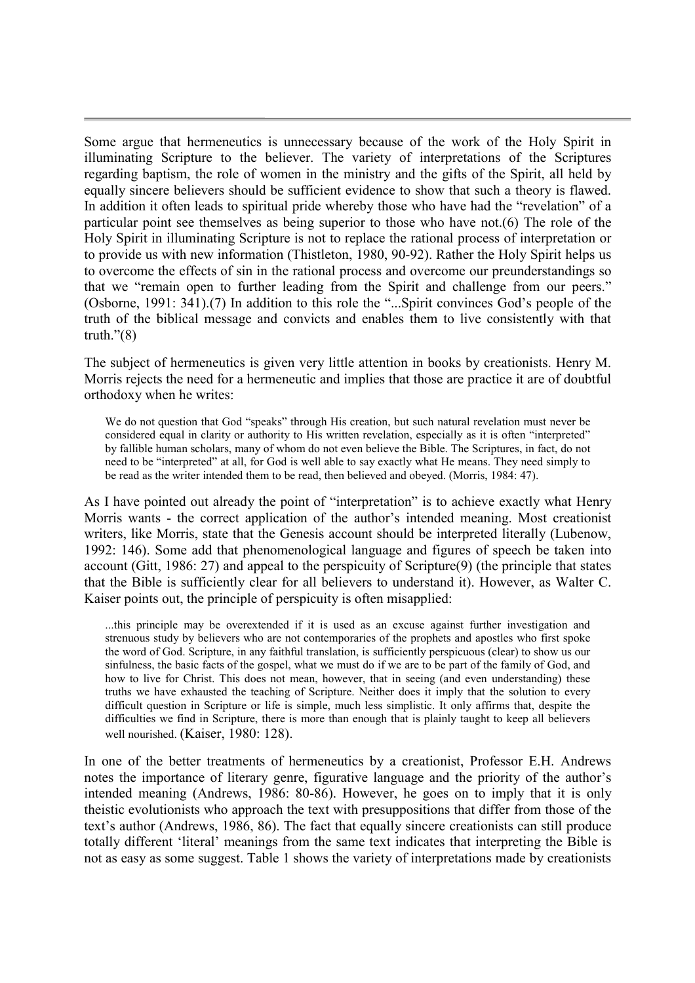Some argue that hermeneutics is unnecessary because of the work of the Holy Spirit in illuminating Scripture to the believer. The variety of interpretations of the Scriptures regarding baptism, the role of women in the ministry and the gifts of the Spirit, all held by equally sincere believers should be sufficient evidence to show that such a theory is flawed. In addition it often leads to spiritual pride whereby those who have had the "revelation" of a particular point see themselves as being superior to those who have not.(6) The role of the Holy Spirit in illuminating Scripture is not to replace the rational process of interpretation or to provide us with new information (Thistleton, 1980, 90-92). Rather the Holy Spirit helps us to overcome the effects of sin in the rational process and overcome our preunderstandings so that we "remain open to further leading from the Spirit and challenge from our peers." (Osborne, 1991: 341).(7) In addition to this role the "...Spirit convinces God's people of the truth of the biblical message and convicts and enables them to live consistently with that truth." $(8)$ 

The subject of hermeneutics is given very little attention in books by creationists. Henry M. Morris rejects the need for a hermeneutic and implies that those are practice it are of doubtful orthodoxy when he writes:

We do not question that God "speaks" through His creation, but such natural revelation must never be considered equal in clarity or authority to His written revelation, especially as it is often "interpreted" by fallible human scholars, many of whom do not even believe the Bible. The Scriptures, in fact, do not need to be "interpreted" at all, for God is well able to say exactly what He means. They need simply to be read as the writer intended them to be read, then believed and obeyed. (Morris, 1984: 47).

As I have pointed out already the point of "interpretation" is to achieve exactly what Henry Morris wants - the correct application of the author's intended meaning. Most creationist writers, like Morris, state that the Genesis account should be interpreted literally (Lubenow, 1992: 146). Some add that phenomenological language and figures of speech be taken into account (Gitt, 1986: 27) and appeal to the perspicuity of Scripture(9) (the principle that states that the Bible is sufficiently clear for all believers to understand it). However, as Walter C. Kaiser points out, the principle of perspicuity is often misapplied:

...this principle may be overextended if it is used as an excuse against further investigation and strenuous study by believers who are not contemporaries of the prophets and apostles who first spoke the word of God. Scripture, in any faithful translation, is sufficiently perspicuous (clear) to show us our sinfulness, the basic facts of the gospel, what we must do if we are to be part of the family of God, and how to live for Christ. This does not mean, however, that in seeing (and even understanding) these truths we have exhausted the teaching of Scripture. Neither does it imply that the solution to every difficult question in Scripture or life is simple, much less simplistic. It only affirms that, despite the difficulties we find in Scripture, there is more than enough that is plainly taught to keep all believers well nourished. (Kaiser, 1980: 128).

In one of the better treatments of hermeneutics by a creationist, Professor E.H. Andrews notes the importance of literary genre, figurative language and the priority of the author's intended meaning (Andrews, 1986: 80-86). However, he goes on to imply that it is only theistic evolutionists who approach the text with presuppositions that differ from those of the text's author (Andrews, 1986, 86). The fact that equally sincere creationists can still produce totally different 'literal' meanings from the same text indicates that interpreting the Bible is not as easy as some suggest. Table 1 shows the variety of interpretations made by creationists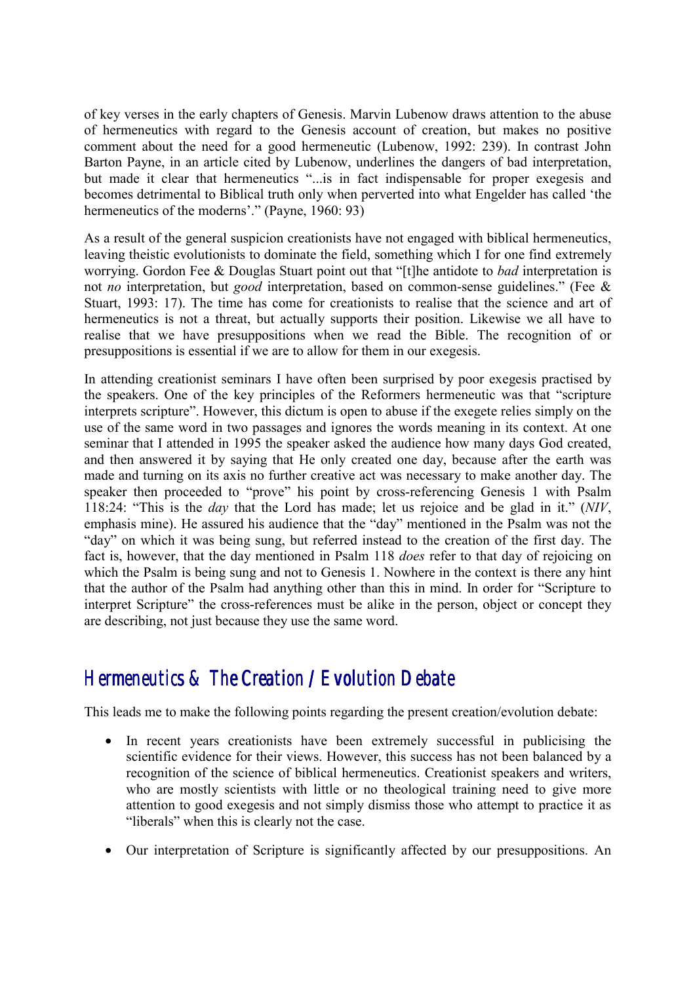of key verses in the early chapters of Genesis. Marvin Lubenow draws attention to the abuse of hermeneutics with regard to the Genesis account of creation, but makes no positive comment about the need for a good hermeneutic (Lubenow, 1992: 239). In contrast John Barton Payne, in an article cited by Lubenow, underlines the dangers of bad interpretation, but made it clear that hermeneutics "...is in fact indispensable for proper exegesis and becomes detrimental to Biblical truth only when perverted into what Engelder has called 'the hermeneutics of the moderns'." (Payne, 1960: 93)

As a result of the general suspicion creationists have not engaged with biblical hermeneutics, leaving theistic evolutionists to dominate the field, something which I for one find extremely worrying. Gordon Fee & Douglas Stuart point out that "[t]he antidote to *bad* interpretation is not *no* interpretation, but *good* interpretation, based on common-sense guidelines." (Fee & Stuart, 1993: 17). The time has come for creationists to realise that the science and art of hermeneutics is not a threat, but actually supports their position. Likewise we all have to realise that we have presuppositions when we read the Bible. The recognition of or presuppositions is essential if we are to allow for them in our exegesis.

In attending creationist seminars I have often been surprised by poor exegesis practised by the speakers. One of the key principles of the Reformers hermeneutic was that "scripture interprets scripture". However, this dictum is open to abuse if the exegete relies simply on the use of the same word in two passages and ignores the words meaning in its context. At one seminar that I attended in 1995 the speaker asked the audience how many days God created, and then answered it by saying that He only created one day, because after the earth was made and turning on its axis no further creative act was necessary to make another day. The speaker then proceeded to "prove" his point by cross-referencing Genesis 1 with Psalm 118:24: "This is the *day* that the Lord has made; let us rejoice and be glad in it." (*NIV*, emphasis mine). He assured his audience that the "day" mentioned in the Psalm was not the "day" on which it was being sung, but referred instead to the creation of the first day. The fact is, however, that the day mentioned in Psalm 118 *does* refer to that day of rejoicing on which the Psalm is being sung and not to Genesis 1. Nowhere in the context is there any hint that the author of the Psalm had anything other than this in mind. In order for "Scripture to interpret Scripture" the cross-references must be alike in the person, object or concept they are describing, not just because they use the same word.

# *Hermeneutics & The Creation / Evolution Debate*

This leads me to make the following points regarding the present creation/evolution debate:

- In recent years creationists have been extremely successful in publicising the scientific evidence for their views. However, this success has not been balanced by a recognition of the science of biblical hermeneutics. Creationist speakers and writers, who are mostly scientists with little or no theological training need to give more attention to good exegesis and not simply dismiss those who attempt to practice it as "liberals" when this is clearly not the case.
- Our interpretation of Scripture is significantly affected by our presuppositions. An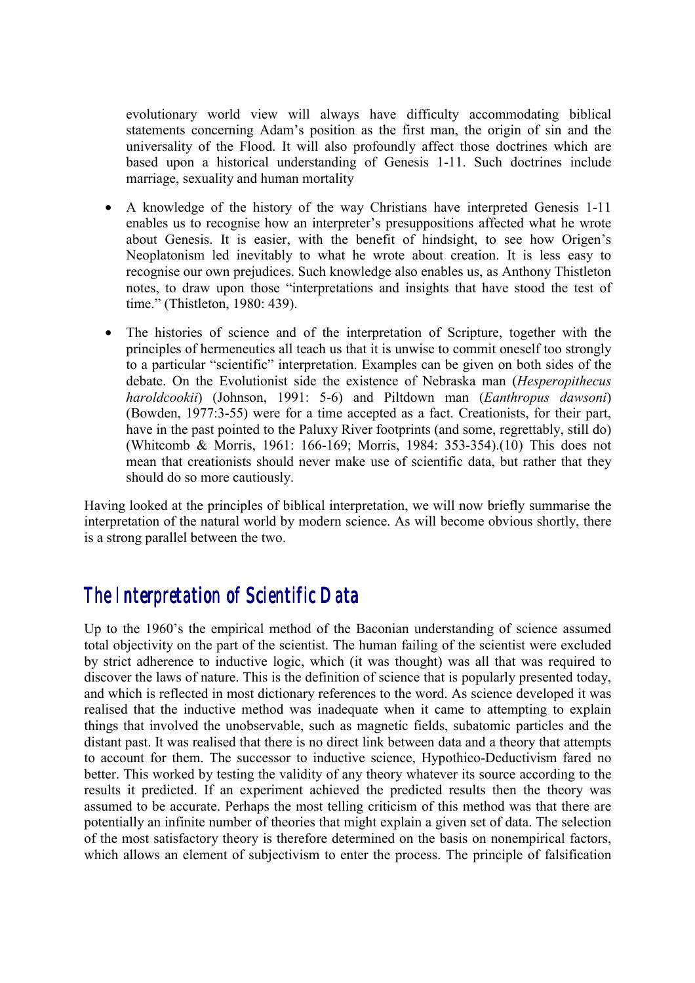evolutionary world view will always have difficulty accommodating biblical statements concerning Adam's position as the first man, the origin of sin and the universality of the Flood. It will also profoundly affect those doctrines which are based upon a historical understanding of Genesis 1-11. Such doctrines include marriage, sexuality and human mortality

- A knowledge of the history of the way Christians have interpreted Genesis 1-11 enables us to recognise how an interpreter's presuppositions affected what he wrote about Genesis. It is easier, with the benefit of hindsight, to see how Origen's Neoplatonism led inevitably to what he wrote about creation. It is less easy to recognise our own prejudices. Such knowledge also enables us, as Anthony Thistleton notes, to draw upon those "interpretations and insights that have stood the test of time." (Thistleton, 1980: 439).
- The histories of science and of the interpretation of Scripture, together with the principles of hermeneutics all teach us that it is unwise to commit oneself too strongly to a particular "scientific" interpretation. Examples can be given on both sides of the debate. On the Evolutionist side the existence of Nebraska man (*Hesperopithecus haroldcookii*) (Johnson, 1991: 5-6) and Piltdown man (*Eanthropus dawsoni*) (Bowden, 1977:3-55) were for a time accepted as a fact. Creationists, for their part, have in the past pointed to the Paluxy River footprints (and some, regrettably, still do) (Whitcomb & Morris, 1961: 166-169; Morris, 1984: 353-354).(10) This does not mean that creationists should never make use of scientific data, but rather that they should do so more cautiously.

Having looked at the principles of biblical interpretation, we will now briefly summarise the interpretation of the natural world by modern science. As will become obvious shortly, there is a strong parallel between the two.

### *The Interpretation of Scientific Data*

Up to the 1960's the empirical method of the Baconian understanding of science assumed total objectivity on the part of the scientist. The human failing of the scientist were excluded by strict adherence to inductive logic, which (it was thought) was all that was required to discover the laws of nature. This is the definition of science that is popularly presented today, and which is reflected in most dictionary references to the word. As science developed it was realised that the inductive method was inadequate when it came to attempting to explain things that involved the unobservable, such as magnetic fields, subatomic particles and the distant past. It was realised that there is no direct link between data and a theory that attempts to account for them. The successor to inductive science, Hypothico-Deductivism fared no better. This worked by testing the validity of any theory whatever its source according to the results it predicted. If an experiment achieved the predicted results then the theory was assumed to be accurate. Perhaps the most telling criticism of this method was that there are potentially an infinite number of theories that might explain a given set of data. The selection of the most satisfactory theory is therefore determined on the basis on nonempirical factors, which allows an element of subjectivism to enter the process. The principle of falsification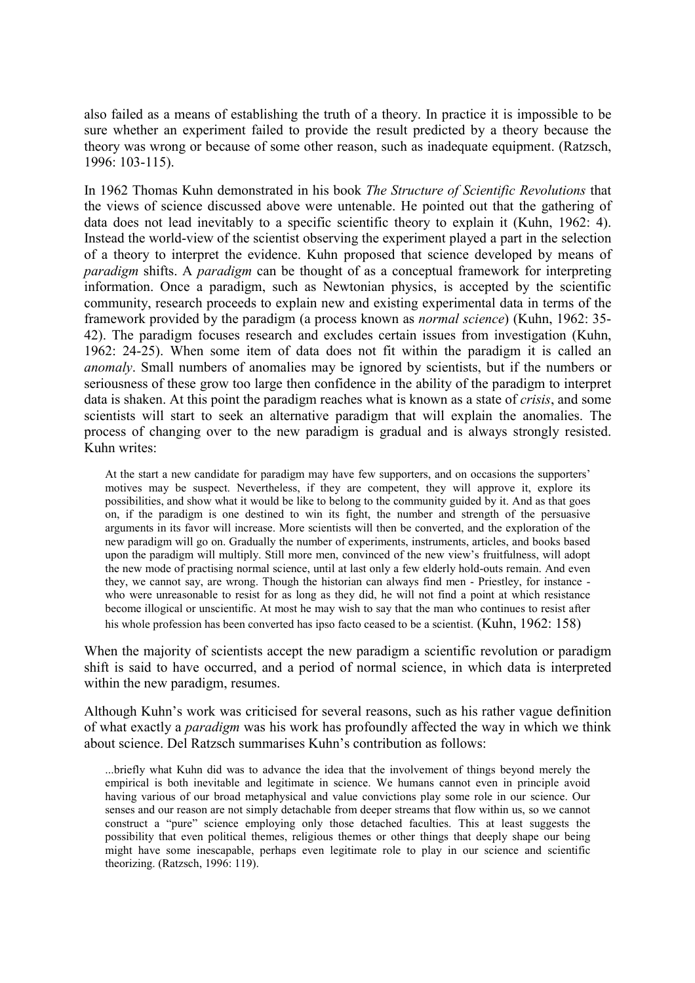also failed as a means of establishing the truth of a theory. In practice it is impossible to be sure whether an experiment failed to provide the result predicted by a theory because the theory was wrong or because of some other reason, such as inadequate equipment. (Ratzsch, 1996: 103-115).

In 1962 Thomas Kuhn demonstrated in his book *The Structure of Scientific Revolutions* that the views of science discussed above were untenable. He pointed out that the gathering of data does not lead inevitably to a specific scientific theory to explain it (Kuhn, 1962: 4). Instead the world-view of the scientist observing the experiment played a part in the selection of a theory to interpret the evidence. Kuhn proposed that science developed by means of *paradigm* shifts. A *paradigm* can be thought of as a conceptual framework for interpreting information. Once a paradigm, such as Newtonian physics, is accepted by the scientific community, research proceeds to explain new and existing experimental data in terms of the framework provided by the paradigm (a process known as *normal science*) (Kuhn, 1962: 35- 42). The paradigm focuses research and excludes certain issues from investigation (Kuhn, 1962: 24-25). When some item of data does not fit within the paradigm it is called an *anomaly*. Small numbers of anomalies may be ignored by scientists, but if the numbers or seriousness of these grow too large then confidence in the ability of the paradigm to interpret data is shaken. At this point the paradigm reaches what is known as a state of *crisis*, and some scientists will start to seek an alternative paradigm that will explain the anomalies. The process of changing over to the new paradigm is gradual and is always strongly resisted. Kuhn writes:

At the start a new candidate for paradigm may have few supporters, and on occasions the supporters' motives may be suspect. Nevertheless, if they are competent, they will approve it, explore its possibilities, and show what it would be like to belong to the community guided by it. And as that goes on, if the paradigm is one destined to win its fight, the number and strength of the persuasive arguments in its favor will increase. More scientists will then be converted, and the exploration of the new paradigm will go on. Gradually the number of experiments, instruments, articles, and books based upon the paradigm will multiply. Still more men, convinced of the new view's fruitfulness, will adopt the new mode of practising normal science, until at last only a few elderly hold-outs remain. And even they, we cannot say, are wrong. Though the historian can always find men - Priestley, for instance who were unreasonable to resist for as long as they did, he will not find a point at which resistance become illogical or unscientific. At most he may wish to say that the man who continues to resist after his whole profession has been converted has ipso facto ceased to be a scientist. (Kuhn, 1962; 158)

When the majority of scientists accept the new paradigm a scientific revolution or paradigm shift is said to have occurred, and a period of normal science, in which data is interpreted within the new paradigm, resumes.

Although Kuhn's work was criticised for several reasons, such as his rather vague definition of what exactly a *paradigm* was his work has profoundly affected the way in which we think about science. Del Ratzsch summarises Kuhn's contribution as follows:

...briefly what Kuhn did was to advance the idea that the involvement of things beyond merely the empirical is both inevitable and legitimate in science. We humans cannot even in principle avoid having various of our broad metaphysical and value convictions play some role in our science. Our senses and our reason are not simply detachable from deeper streams that flow within us, so we cannot construct a "pure" science employing only those detached faculties. This at least suggests the possibility that even political themes, religious themes or other things that deeply shape our being might have some inescapable, perhaps even legitimate role to play in our science and scientific theorizing. (Ratzsch, 1996: 119).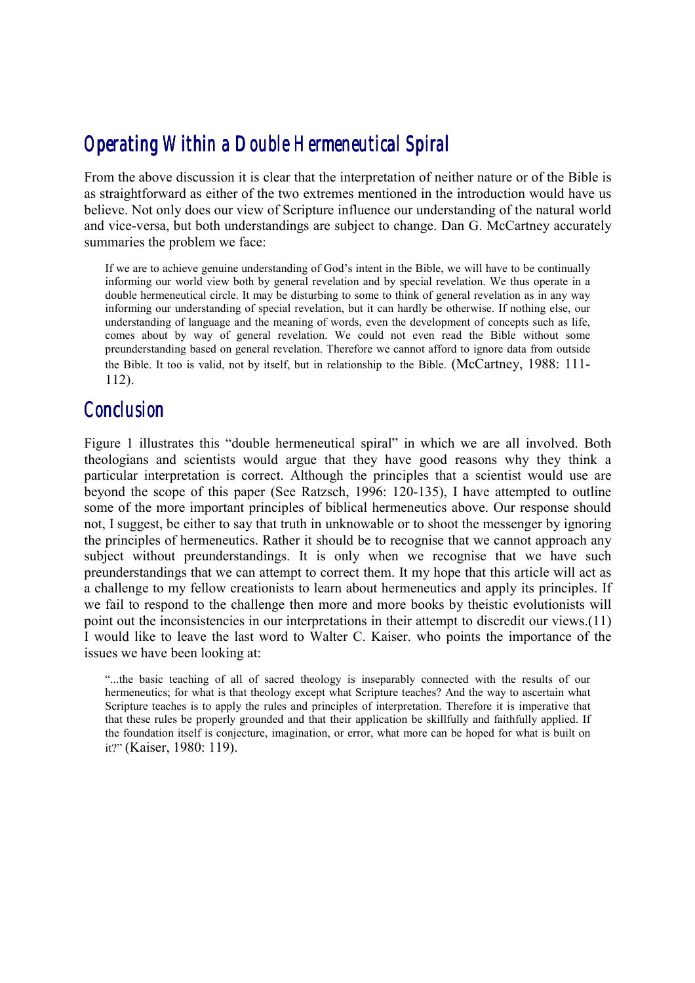## *Operating Within a Double Hermeneutical Spiral Operating Within Spiral*

From the above discussion it is clear that the interpretation of neither nature or of the Bible is as straightforward as either of the two extremes mentioned in the introduction would have us believe. Not only does our view of Scripture influence our understanding of the natural world and vice-versa, but both understandings are subject to change. Dan G. McCartney accurately summaries the problem we face:

If we are to achieve genuine understanding of God's intent in the Bible, we will have to be continually informing our world view both by general revelation and by special revelation. We thus operate in a double hermeneutical circle. It may be disturbing to some to think of general revelation as in any way informing our understanding of special revelation, but it can hardly be otherwise. If nothing else, our understanding of language and the meaning of words, even the development of concepts such as life, comes about by way of general revelation. We could not even read the Bible without some preunderstanding based on general revelation. Therefore we cannot afford to ignore data from outside the Bible. It too is valid, not by itself, but in relationship to the Bible. (McCartney, 1988: 111- 112).

### *Conclusion*

Figure 1 illustrates this "double hermeneutical spiral" in which we are all involved. Both theologians and scientists would argue that they have good reasons why they think a particular interpretation is correct. Although the principles that a scientist would use are beyond the scope of this paper (See Ratzsch, 1996: 120-135), I have attempted to outline some of the more important principles of biblical hermeneutics above. Our response should not, I suggest, be either to say that truth in unknowable or to shoot the messenger by ignoring the principles of hermeneutics. Rather it should be to recognise that we cannot approach any subject without preunderstandings. It is only when we recognise that we have such preunderstandings that we can attempt to correct them. It my hope that this article will act as a challenge to my fellow creationists to learn about hermeneutics and apply its principles. If we fail to respond to the challenge then more and more books by theistic evolutionists will point out the inconsistencies in our interpretations in their attempt to discredit our views.(11) I would like to leave the last word to Walter C. Kaiser. who points the importance of the issues we have been looking at:

"...the basic teaching of all of sacred theology is inseparably connected with the results of our hermeneutics; for what is that theology except what Scripture teaches? And the way to ascertain what Scripture teaches is to apply the rules and principles of interpretation. Therefore it is imperative that that these rules be properly grounded and that their application be skillfully and faithfully applied. If the foundation itself is conjecture, imagination, or error, what more can be hoped for what is built on it?" (Kaiser, 1980: 119).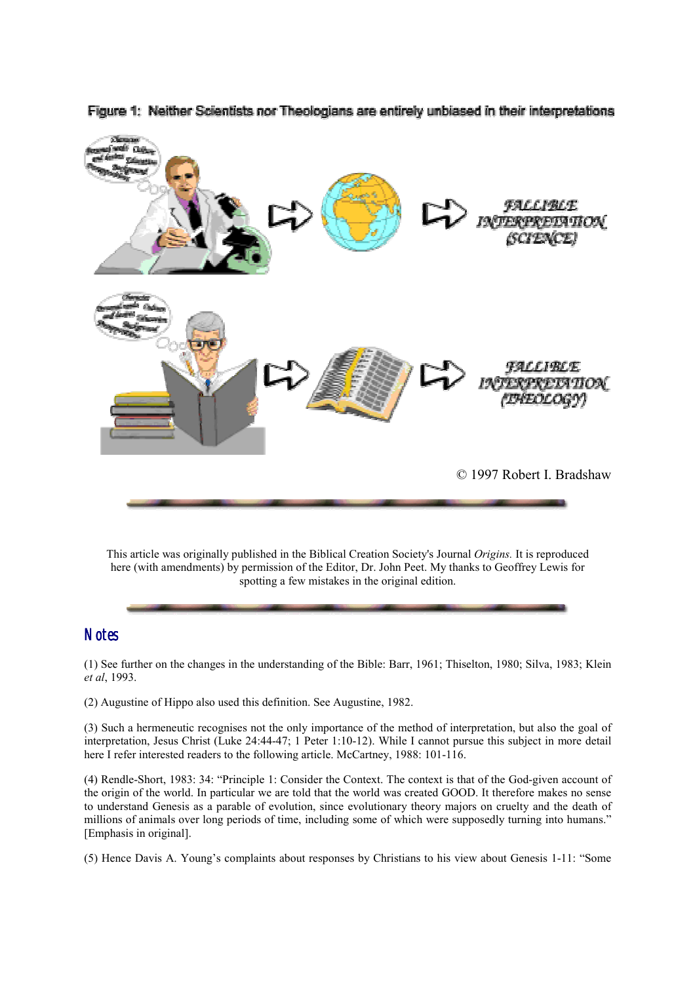

Figure 1: Neither Scientists nor Theologians are entirely unbiased in their interpretations

This article was originally published in the Biblical Creation Society's Journal *Origins.* It is reproduced here (with amendments) by permission of the Editor, Dr. John Peet. My thanks to Geoffrey Lewis for spotting a few mistakes in the original edition.

#### *Notes*

(1) See further on the changes in the understanding of the Bible: Barr, 1961; Thiselton, 1980; Silva, 1983; Klein *et al*, 1993.

(2) Augustine of Hippo also used this definition. See Augustine, 1982.

(3) Such a hermeneutic recognises not the only importance of the method of interpretation, but also the goal of interpretation, Jesus Christ (Luke 24:44-47; 1 Peter 1:10-12). While I cannot pursue this subject in more detail here I refer interested readers to the following article. McCartney, 1988: 101-116.

(4) Rendle-Short, 1983: 34: "Principle 1: Consider the Context. The context is that of the God-given account of the origin of the world. In particular we are told that the world was created GOOD. It therefore makes no sense to understand Genesis as a parable of evolution, since evolutionary theory majors on cruelty and the death of millions of animals over long periods of time, including some of which were supposedly turning into humans." [Emphasis in original].

(5) Hence Davis A. Young's complaints about responses by Christians to his view about Genesis 1-11: "Some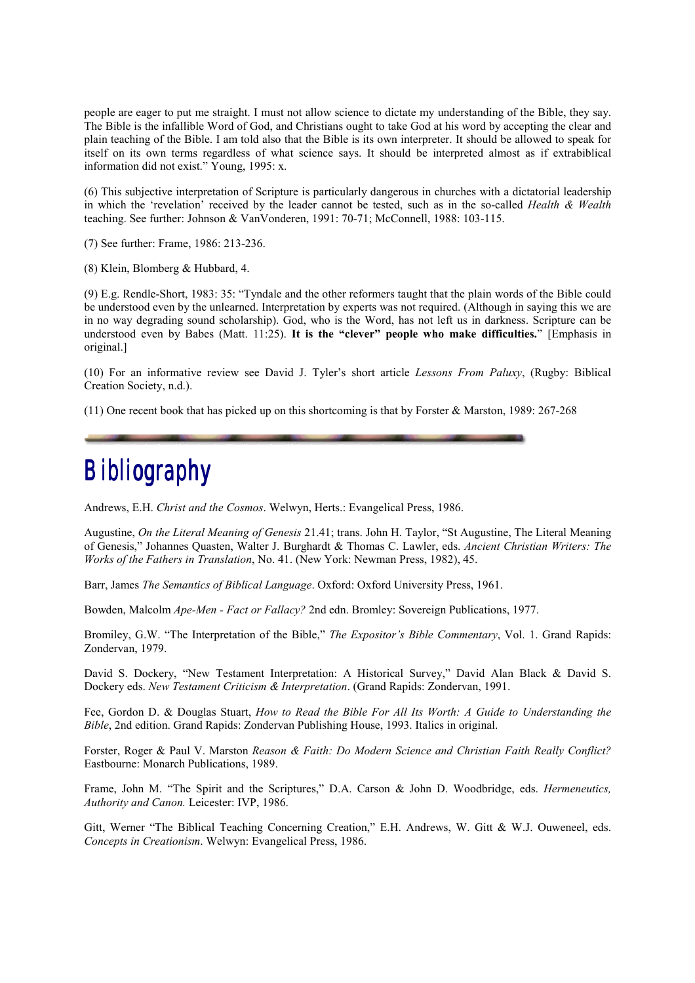people are eager to put me straight. I must not allow science to dictate my understanding of the Bible, they say. The Bible is the infallible Word of God, and Christians ought to take God at his word by accepting the clear and plain teaching of the Bible. I am told also that the Bible is its own interpreter. It should be allowed to speak for itself on its own terms regardless of what science says. It should be interpreted almost as if extrabiblical information did not exist." Young, 1995: x.

(6) This subjective interpretation of Scripture is particularly dangerous in churches with a dictatorial leadership in which the 'revelation' received by the leader cannot be tested, such as in the so-called *Health & Wealth* teaching. See further: Johnson & VanVonderen, 1991: 70-71; McConnell, 1988: 103-115.

(7) See further: Frame, 1986: 213-236.

(8) Klein, Blomberg & Hubbard, 4.

(9) E.g. Rendle-Short, 1983: 35: "Tyndale and the other reformers taught that the plain words of the Bible could be understood even by the unlearned. Interpretation by experts was not required. (Although in saying this we are in no way degrading sound scholarship). God, who is the Word, has not left us in darkness. Scripture can be understood even by Babes (Matt. 11:25). **It is the "clever" people who make difficulties.**" [Emphasis in original.]

(10) For an informative review see David J. Tyler's short article *Lessons From Paluxy*, (Rugby: Biblical Creation Society, n.d.).

(11) One recent book that has picked up on this shortcoming is that by Forster & Marston, 1989: 267-268

# *Bibliography*

Andrews, E.H. *Christ and the Cosmos*. Welwyn, Herts.: Evangelical Press, 1986.

Augustine, *On the Literal Meaning of Genesis* 21.41; trans. John H. Taylor, "St Augustine, The Literal Meaning of Genesis," Johannes Quasten, Walter J. Burghardt & Thomas C. Lawler, eds. *Ancient Christian Writers: The Works of the Fathers in Translation*, No. 41. (New York: Newman Press, 1982), 45.

Barr, James *The Semantics of Biblical Language*. Oxford: Oxford University Press, 1961.

Bowden, Malcolm *Ape-Men - Fact or Fallacy?* 2nd edn. Bromley: Sovereign Publications, 1977.

Bromiley, G.W. "The Interpretation of the Bible," *The Expositor's Bible Commentary*, Vol. 1. Grand Rapids: Zondervan, 1979.

David S. Dockery, "New Testament Interpretation: A Historical Survey," David Alan Black & David S. Dockery eds. *New Testament Criticism & Interpretation*. (Grand Rapids: Zondervan, 1991.

Fee, Gordon D. & Douglas Stuart, *How to Read the Bible For All Its Worth: A Guide to Understanding the Bible*, 2nd edition. Grand Rapids: Zondervan Publishing House, 1993. Italics in original.

Forster, Roger & Paul V. Marston *Reason & Faith: Do Modern Science and Christian Faith Really Conflict?* Eastbourne: Monarch Publications, 1989.

Frame, John M. "The Spirit and the Scriptures," D.A. Carson & John D. Woodbridge, eds. *Hermeneutics, Authority and Canon.* Leicester: IVP, 1986.

Gitt, Werner "The Biblical Teaching Concerning Creation," E.H. Andrews, W. Gitt & W.J. Ouweneel, eds. *Concepts in Creationism*. Welwyn: Evangelical Press, 1986.